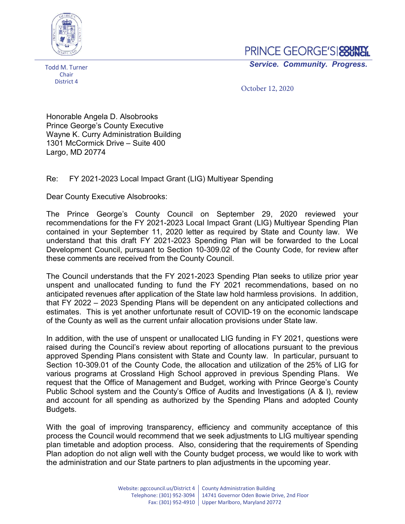

Todd M. Turner **Chair** District 4

## PRINCE GEORGE'S **SOUNT**

Service. Community. Progress.

October 12, 2020

Honorable Angela D. Alsobrooks Prince George's County Executive Wayne K. Curry Administration Building 1301 McCormick Drive – Suite 400 Largo, MD 20774

## Re: FY 2021-2023 Local Impact Grant (LIG) Multiyear Spending

Dear County Executive Alsobrooks:

The Prince George's County Council on September 29, 2020 reviewed your recommendations for the FY 2021-2023 Local Impact Grant (LIG) Multiyear Spending Plan contained in your September 11, 2020 letter as required by State and County law. We understand that this draft FY 2021-2023 Spending Plan will be forwarded to the Local Development Council, pursuant to Section 10-309.02 of the County Code, for review after these comments are received from the County Council.

The Council understands that the FY 2021-2023 Spending Plan seeks to utilize prior year unspent and unallocated funding to fund the FY 2021 recommendations, based on no anticipated revenues after application of the State law hold harmless provisions. In addition, that FY 2022 – 2023 Spending Plans will be dependent on any anticipated collections and estimates. This is yet another unfortunate result of COVID-19 on the economic landscape of the County as well as the current unfair allocation provisions under State law.

In addition, with the use of unspent or unallocated LIG funding in FY 2021, questions were raised during the Council's review about reporting of allocations pursuant to the previous approved Spending Plans consistent with State and County law. In particular, pursuant to Section 10-309.01 of the County Code, the allocation and utilization of the 25% of LIG for various programs at Crossland High School approved in previous Spending Plans. We request that the Office of Management and Budget, working with Prince George's County Public School system and the County's Office of Audits and Investigations (A & I), review and account for all spending as authorized by the Spending Plans and adopted County Budgets.

With the goal of improving transparency, efficiency and community acceptance of this process the Council would recommend that we seek adjustments to LIG multiyear spending plan timetable and adoption process. Also, considering that the requirements of Spending Plan adoption do not align well with the County budget process, we would like to work with the administration and our State partners to plan adjustments in the upcoming year.